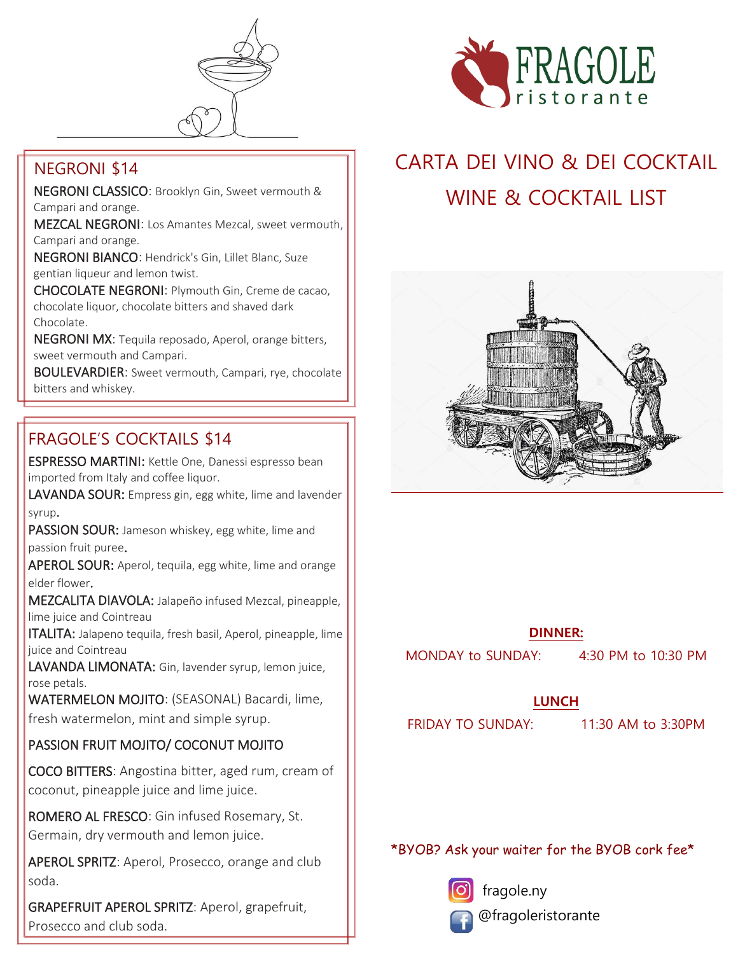

#### NEGRONI \$14

NEGRONI CLASSICO: Brooklyn Gin, Sweet vermouth & Campari and orange.

MEZCAL NEGRONI: Los Amantes Mezcal, sweet vermouth, Campari and orange.

NEGRONI BIANCO: Hendrick's Gin, Lillet Blanc, Suze gentian liqueur and lemon twist.

CHOCOLATE NEGRONI: Plymouth Gin, Creme de cacao, chocolate liquor, chocolate bitters and shaved dark Chocolate.

NEGRONI MX: Tequila reposado, Aperol, orange bitters, sweet vermouth and Campari.

BOULEVARDIER: Sweet vermouth, Campari, rye, chocolate bitters and whiskey.

### FRAGOLE'S COCKTAILS \$14

ESPRESSO MARTINI: Kettle One, Danessi espresso bean imported from Italy and coffee liquor.

LAVANDA SOUR: Empress gin, egg white, lime and lavender syrup.

PASSION SOUR: Jameson whiskey, egg white, lime and passion fruit puree.

APEROL SOUR: Aperol, tequila, egg white, lime and orange elder flower.

MEZCALITA DIAVOLA: Jalapeño infused Mezcal, pineapple, lime juice and Cointreau

ITALITA: Jalapeno tequila, fresh basil, Aperol, pineapple, lime juice and Cointreau

LAVANDA LIMONATA: Gin, lavender syrup, lemon juice, rose petals.

WATERMELON MOJITO: (SEASONAL) Bacardi, lime, fresh watermelon, mint and simple syrup.

#### PASSION FRUIT MOJITO/ COCONUT MOJITO

COCO BITTERS: Angostina bitter, aged rum, cream of coconut, pineapple juice and lime juice.

ROMERO AL FRESCO: Gin infused Rosemary, St. Germain, dry vermouth and lemon juice.

APEROL SPRITZ: Aperol, Prosecco, orange and club soda.

GRAPEFRUIT APEROL SPRITZ: Aperol, grapefruit, Prosecco and club soda.



# CARTA DEI VINO & DEI COCKTAIL WINE & COCKTAIL LIST



#### **DINNER:**

MONDAY to SUNDAY: 4:30 PM to 10:30 PM

#### **LUNCH**

FRIDAY TO SUNDAY: 11:30 AM to 3:30PM

#### \*BYOB? Ask your waiter for the BYOB cork fee\*



fragole.ny

@fragoleristorante